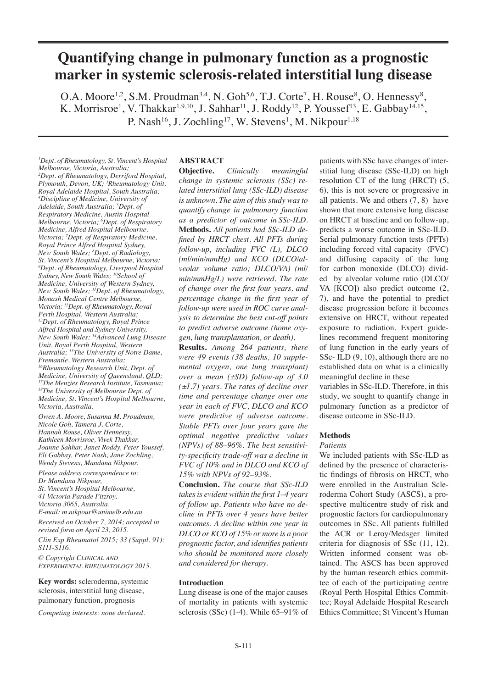# **Quantifying change in pulmonary function as a prognostic marker in systemic sclerosis-related interstitial lung disease**

O.A. Moore<sup>1,2</sup>, S.M. Proudman<sup>3,4</sup>, N. Goh<sup>5,6</sup>, T.J. Corte<sup>7</sup>, H. Rouse<sup>8</sup>, O. Hennessy<sup>8</sup>, K. Morrisroe<sup>1</sup>, V. Thakkar<sup>1,9,10</sup>, J. Sahhar<sup>11</sup>, J. Roddy<sup>12</sup>, P. Youssef<sup>13</sup>, E. Gabbay<sup>14,15</sup>, P. Nash<sup>16</sup>, J. Zochling<sup>17</sup>, W. Stevens<sup>1</sup>, M. Nikpour<sup>1,18</sup>

*1 Dept. of Rheumatology, St. Vincent's Hospital Melbourne, Victoria, Australia; 2 Dept. of Rheumatology, Derriford Hospital, Plymouth, Devon, UK; 3 Rheumatology Unit, Royal Adelaide Hospital, South Australia; 4 Discipline of Medicine, University of Adelaide, South Australia; 5 Dept. of Respiratory Medicine, Austin Hospital Melbourne, Victoria; 6 Dept. of Respiratory Medicine, Alfred Hospital Melbourne, Victoria; 7 Dept. of Respiratory Medicine, Royal Prince Alfred Hospital Sydney, New South Wales; 8 Dept. of Radiology, St. Vincent's Hospital Melbourne, Victoria; 9 Dept. of Rheumatology, Liverpool Hospital Sydney, New South Wales; 10School of Medicine, University of Western Sydney, New South Wales; 11Dept. of Rheumatology, Monash Medical Centre Melbourne, Victoria; 12Dept. of Rheumatology, Royal Perth Hospital, Western Australia; 13Dept. of Rheumatology, Royal Prince Alfred Hospital and Sydney University, New South Wales; 14Advanced Lung Disease Unit, Royal Perth Hospital, Western Australia; 15The University of Notre Dame, Fremantle, Western Australia; 16Rheumatology Research Unit, Dept. of Medicine, University of Queensland, QLD; 17The Menzies Research Institute, Tasmania; 18The University of Melbourne Dept. of Medicine, St. Vincent's Hospital Melbourne, Victoria, Australia.*

*Owen A. Moore, Susanna M. Proudman, Nicole Goh, Tamera J. Corte, Hannah Rouse, Oliver Hennessy, Kathleen Morrisroe, Vivek Thakkar, Joanne Sahhar, Janet Roddy, Peter Youssef, Eli Gabbay, Peter Nash, Jane Zochling, Wendy Stevens, Mandana Nikpour.*

*Please address correspondence to: Dr Mandana Nikpour, St. Vincent's Hospital Melbourne, 41 Victoria Parade Fitzroy, Victoria 3065, Australia. E-mail: m.nikpour@unimelb.edu.au*

*Received on October 7, 2014; accepted in revised form on April 23, 2015.*

*Clin Exp Rheumatol 2015; 33 (Suppl. 91): S111-S116.*

*© Copyright Clinical and Experimental Rheumatology 2015.*

**Key words:** scleroderma, systemic sclerosis, interstitial lung disease, pulmonary function, prognosis

*Competing interests: none declared.*

# **ABSTRACT**

**Objective.** *Clinically meaningful change in systemic sclerosis (SSc) related interstitial lung (SSc-ILD) disease is unknown. The aim of this study was to quantify change in pulmonary function as a predictor of outcome in SSc-ILD.* **Methods.** *All patients had SSc-ILD defined by HRCT chest. All PFTs during follow-up, including FVC (L), DLCO (ml/min/mmHg) and KCO (DLCO/alveolar volume ratio; DLCO/VA) (ml/ min/mmHg/L) were retrieved. The rate of change over the first four years, and percentage change in the first year of follow-up were used in ROC curve analysis to determine the best cut-off points to predict adverse outcome (home oxygen, lung transplantation, or death).*

**Results.** *Among 264 patients, there were 49 events (38 deaths, 10 supplemental oxygen, one lung transplant) over a mean (±SD) follow-up of 3.0 (±1.7) years. The rates of decline over time and percentage change over one year in each of FVC, DLCO and KCO were predictive of adverse outcome. Stable PFTs over four years gave the optimal negative predictive values (NPVs) of 88–96%. The best sensitivity-specificity trade-off was a decline in FVC of 10% and in DLCO and KCO of 15% with NPVs of 92–93%.*

**Conclusion.** *The course that SSc-ILD takes is evident within the first 1–4 years of follow up. Patients who have no decline in PFTs over 4 years have better outcomes. A decline within one year in DLCO or KCO of 15% or more is a poor prognostic factor, and identifies patients who should be monitored more closely and considered for therapy.*

## **Introduction**

Lung disease is one of the major causes of mortality in patients with systemic sclerosis (SSc) (1-4). While 65–91% of patients with SSc have changes of interstitial lung disease (SSc-ILD) on high resolution CT of the lung (HRCT) (5, 6), this is not severe or progressive in all patients. We and others (7, 8) have shown that more extensive lung disease on HRCT at baseline and on follow-up, predicts a worse outcome in SSc-ILD. Serial pulmonary function tests (PFTs) including forced vital capacity (FVC) and diffusing capacity of the lung for carbon monoxide (DLCO) divided by alveolar volume ratio (DLCO/ VA [KCO]) also predict outcome (2, 7), and have the potential to predict disease progression before it becomes extensive on HRCT, without repeated exposure to radiation. Expert guidelines recommend frequent monitoring of lung function in the early years of SSc- ILD  $(9, 10)$ , although there are no established data on what is a clinically meaningful decline in these

variables in SSc-ILD. Therefore, in this study, we sought to quantify change in pulmonary function as a predictor of disease outcome in SSc-ILD.

## **Methods**

## *Patients*

We included patients with SSc-ILD as defined by the presence of characteristic findings of fibrosis on HRCT, who were enrolled in the Australian Scleroderma Cohort Study (ASCS), a prospective multicentre study of risk and prognostic factors for cardiopulmonary outcomes in SSc. All patients fulfilled the ACR or Leroy/Medsger limited criteria for diagnosis of SSc (11, 12). Written informed consent was obtained. The ASCS has been approved by the human research ethics committee of each of the participating centre (Royal Perth Hospital Ethics Committee; Royal Adelaide Hospital Research Ethics Committee; St Vincent's Human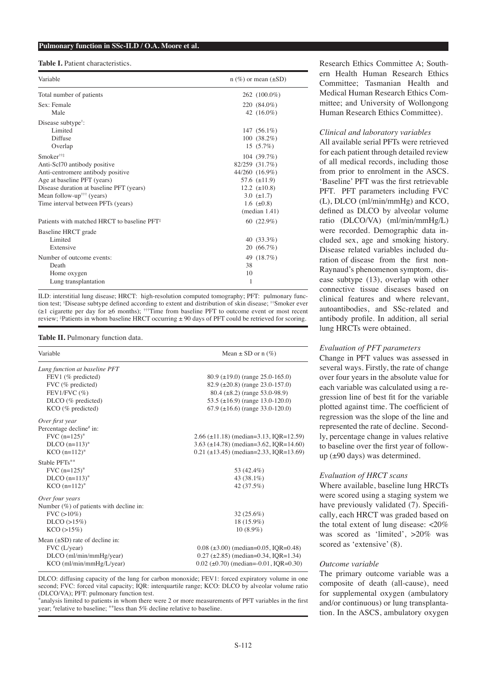#### **Pulmonary function in SSc-ILD / O.A. Moore et al.**

#### **Table I.** Patient characteristics.

| Variable                                                                | $n$ (%) or mean ( $\pm SD$ ) |
|-------------------------------------------------------------------------|------------------------------|
| Total number of patients                                                | 262 (100.0%)                 |
| Sex: Female                                                             | 220 (84.0%)                  |
| Male                                                                    | 42 $(16.0\%)$                |
| Disease subtype <sup>†</sup> :                                          |                              |
| Limited                                                                 | 147 $(56.1\%)$               |
| Diffuse                                                                 | $100(38.2\%)$                |
| Overlap                                                                 | $15(5.7\%)$                  |
| Smoker <sup>††‡</sup>                                                   | 104 (39.7%)                  |
| Anti-Scl70 antibody positive                                            | 82/259 (31.7%)               |
| Anti-centromere antibody positive                                       | 44/260 (16.9%)               |
| Age at baseline PFT (years)                                             | 57.6 $(\pm 11.9)$            |
| Disease duration at baseline PFT (years)                                | 12.2 $(\pm 10.8)$            |
| Mean follow-up <sup><math>\uparrow\uparrow\uparrow</math></sup> (years) | 3.0 $(\pm 1.7)$              |
| Time interval between PFTs (years)                                      | 1.6 $(\pm 0.8)$              |
|                                                                         | (median 1.41)                |
| Patients with matched HRCT to baseline PFT <sup>‡</sup>                 | 60 $(22.9\%)$                |
| Baseline HRCT grade                                                     |                              |
| Limited                                                                 | 40 $(33.3\%)$                |
| Extensive                                                               | $20(66.7\%)$                 |
| Number of outcome events:                                               | 49 (18.7%)                   |
| Death                                                                   | 38                           |
| Home oxygen                                                             | 10                           |
| Lung transplantation                                                    | 1                            |
|                                                                         |                              |

ILD: interstitial lung disease; HRCT: high-resolution computed tomography; PFT: pulmonary function test; † Disease subtype defined according to extent and distribution of skin disease; ††Smoker ever (≥1 cigarette per day for ≥6 months); †††Time from baseline PFT to outcome event or most recent review; ‡ Patients in whom baseline HRCT occurring ± 90 days of PFT could be retrieved for scoring.

#### **Table II.** Pulmonary function data.

| Variable                                   | Mean $\pm$ SD or n $(\%)$                      |  |  |
|--------------------------------------------|------------------------------------------------|--|--|
| Lung function at baseline PFT              |                                                |  |  |
| FEV1 (% predicted)                         | $80.9 \ (\pm 19.0)$ (range 25.0-165.0)         |  |  |
| FVC (% predicted)                          | $82.9 \ (\pm 20.8)$ (range 23.0-157.0)         |  |  |
| FEV1/FVC $(\% )$                           | $80.4 \ (\pm 8.2)$ (range 53.0-98.9)           |  |  |
| DLCO (% predicted)                         | 53.5 ( $\pm$ 16.9) (range 13.0-120.0)          |  |  |
| $KCO$ (% predicted)                        | $67.9 \ (\pm 16.6)$ (range 33.0-120.0)         |  |  |
| Over first year                            |                                                |  |  |
| Percentage decline <sup>#</sup> in:        |                                                |  |  |
| $FVC$ (n=125) <sup>*</sup>                 | $2.66 \ (\pm 11.18)$ (median=3.13, IQR=12.59)  |  |  |
| $DLCO$ (n=113) <sup>*</sup>                | 3.63 ( $\pm$ 14.78) (median=3.62, IQR=14.60)   |  |  |
| $KCO$ (n=112) <sup>*</sup>                 | $0.21$ ( $\pm$ 13.45) (median=2.33, IQR=13.69) |  |  |
| Stable PFTs**                              |                                                |  |  |
| $FVC$ (n=125)*                             | 53 (42.4%)                                     |  |  |
| $DLCO$ (n=113) <sup>*</sup>                | 43 (38.1%)                                     |  |  |
| $KCO$ (n=112) <sup>*</sup>                 | 42 (37.5%)                                     |  |  |
| Over four years                            |                                                |  |  |
| Number $(\%)$ of patients with decline in: |                                                |  |  |
| $FVC$ ( $>10\%$ )                          | $32(25.6\%)$                                   |  |  |
| D <sub>LCO</sub> (>15%)                    | 18 (15.9%)                                     |  |  |
| KCO (>15%)                                 | $10(8.9\%)$                                    |  |  |
| Mean $(\pm SD)$ rate of decline in:        |                                                |  |  |
| FVC (L/year)                               | $0.08 \ (\pm 3.00) \ (median=0.05, IQR=0.48)$  |  |  |
| $DLCO$ (ml/min/mmHg/year)                  | $0.27 \ (\pm 2.85) \ (median=0.34, IQR=1.34)$  |  |  |
| KCO (ml/min/mmHg/L/year)                   | $0.02$ ( $\pm$ 0.70) (median=-0.01, IQR=0.30)  |  |  |

DLCO: diffusing capacity of the lung for carbon monoxide; FEV1: forced expiratory volume in one second; FVC: forced vital capacity; IQR: interquartile range; KCO: DLCO by alveolar volume ratio (DLCO/VA); PFT: pulmonary function test.

\*analysis limited to patients in whom there were 2 or more measurements of PFT variables in the first year; # relative to baseline; \*\*less than 5% decline relative to baseline.

Research Ethics Committee A; Southern Health Human Research Ethics Committee; Tasmanian Health and Medical Human Research Ethics Committee; and University of Wollongong Human Research Ethics Committee).

#### *Clinical and laboratory variables*

All available serial PFTs were retrieved for each patient through detailed review of all medical records, including those from prior to enrolment in the ASCS. 'Baseline' PFT was the first retrievable PFT. PFT parameters including FVC (L), DLCO (ml/min/mmHg) and KCO, defined as DLCO by alveolar volume ratio (DLCO/VA) (ml/min/mmHg/L) were recorded. Demographic data included sex, age and smoking history. Disease related variables included duration of disease from the first non-Raynaud's phenomenon symptom, disease subtype (13), overlap with other connective tissue diseases based on clinical features and where relevant, autoantibodies, and SSc-related and antibody profile. In addition, all serial lung HRCTs were obtained.

#### *Evaluation of PFT parameters*

Change in PFT values was assessed in several ways. Firstly, the rate of change over four years in the absolute value for each variable was calculated using a regression line of best fit for the variable plotted against time. The coefficient of regression was the slope of the line and represented the rate of decline. Secondly, percentage change in values relative to baseline over the first year of followup (±90 days) was determined.

#### *Evaluation of HRCT scans*

Where available, baseline lung HRCTs were scored using a staging system we have previously validated (7). Specifically, each HRCT was graded based on the total extent of lung disease:  $\langle 20\%$ was scored as 'limited', >20% was scored as 'extensive' (8).

#### *Outcome variable*

The primary outcome variable was a composite of death (all-cause), need for supplemental oxygen (ambulatory and/or continuous) or lung transplantation. In the ASCS, ambulatory oxygen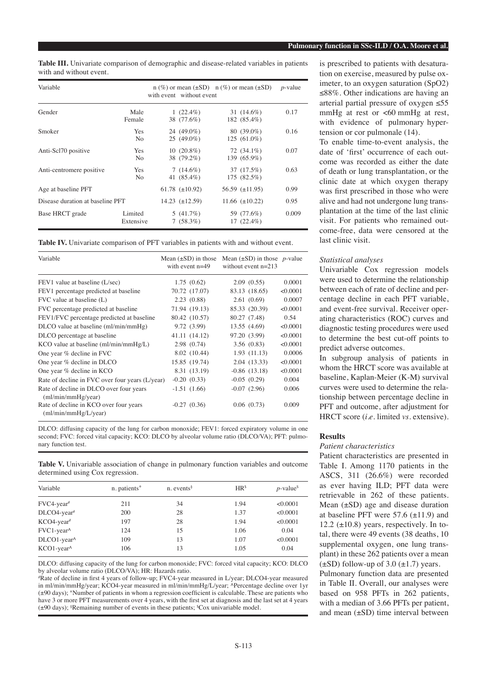| Table III. Univariate comparison of demographic and disease-related variables in patients |  |  |
|-------------------------------------------------------------------------------------------|--|--|
| with and without event.                                                                   |  |  |

| Variable                         |                              | with event without event   | $n$ (%) or mean ( $\pm SD$ ) $n$ (%) or mean ( $\pm SD$ ) | $p$ -value |
|----------------------------------|------------------------------|----------------------------|-----------------------------------------------------------|------------|
| Gender                           | Male<br>Female               | 1 $(22.4\%)$<br>38 (77.6%) | 31 $(14.6\%)$<br>182 (85.4%)                              | 0.17       |
| Smoker                           | <b>Yes</b><br>No.            | 24 (49.0%)<br>$25(49.0\%)$ | $80(39.0\%)$<br>$125(61.0\%)$                             | 0.16       |
| Anti-Scl70 positive              | <b>Yes</b><br>N <sub>0</sub> | $10(20.8\%)$<br>38 (79.2%) | $72(34.1\%)$<br>139 (65.9%)                               | 0.07       |
| Anti-centromere positive         | Yes.<br>N <sub>0</sub>       | $7(14.6\%)$<br>41 (85.4%)  | 37 (17.5%)<br>175 (82.5%)                                 | 0.63       |
| Age at baseline PFT              |                              | 61.78 $(\pm 10.92)$        | 56.59 $(\pm 11.95)$                                       | 0.99       |
| Disease duration at baseline PFT |                              | 14.23 $(\pm 12.59)$        | 11.66 $(\pm 10.22)$                                       | 0.95       |
| Base HRCT grade                  | Limited<br>Extensive         | $5(41.7\%)$<br>7(58.3%)    | 59 (77.6%)<br>$17(22.4\%)$                                | 0.009      |

**Table IV.** Univariate comparison of PFT variables in patients with and without event.

| Variable                                                        | Mean $(\pm SD)$ in those<br>with event $n=49$ | Mean $(\pm SD)$ in those p-value<br>without event $n=213$ |          |
|-----------------------------------------------------------------|-----------------------------------------------|-----------------------------------------------------------|----------|
| FEV1 value at baseline (L/sec)                                  | 1.75(0.62)                                    | 2.09(0.55)                                                | 0.0001   |
| FEV1 percentage predicted at baseline                           | 70.72 (17.07)                                 | 83.13 (18.65)                                             | < 0.0001 |
| $FVC$ value at baseline $(L)$                                   | 2.23(0.88)                                    | 2.61(0.69)                                                | 0.0007   |
| FVC percentage predicted at baseline                            | 71.94 (19.13)                                 | 85.33 (20.39)                                             | < 0.0001 |
| FEV1/FVC percentage predicted at baseline                       | 80.42 (10.57)                                 | 80.27 (7.48)                                              | 0.54     |
| DLCO value at baseline (ml/min/mmHg)                            | 9.72 (3.99)                                   | 13.55 (4.69)                                              | < 0.0001 |
| DLCO percentage at baseline                                     | 41.11 (14.12)                                 | 97.20 (3.99)                                              | < 0.0001 |
| $KCO$ value at baseline (ml/min/mm $Hg/L$ )                     | 2.98(0.74)                                    | 3.56(0.83)                                                | < 0.0001 |
| One year % decline in FVC                                       | 8.02 (10.44)                                  | 1.93(11.13)                                               | 0.0006   |
| One year % decline in DLCO                                      | 15.85 (19.74)                                 | 2.04(13.33)                                               | < 0.0001 |
| One year % decline in KCO                                       | 8.31 (13.19)                                  | $-0.86$ $(13.18)$                                         | < 0.0001 |
| Rate of decline in FVC over four years (L/year)                 | $-0.20(0.33)$                                 | $-0.05(0.29)$                                             | 0.004    |
| Rate of decline in DLCO over four years<br>(ml/min/mmHg/year)   | $-1.51(1.66)$                                 | $-0.07(2.96)$                                             | 0.006    |
| Rate of decline in KCO over four years<br>(ml/min/mm Hg/L/year) | $-0.27(0.36)$                                 | 0.06(0.73)                                                | 0.009    |

DLCO: diffusing capacity of the lung for carbon monoxide; FEV1: forced expiratory volume in one second; FVC: forced vital capacity; KCO: DLCO by alveolar volume ratio (DLCO/VA); PFT: pulmonary function test.

**Table V.** Univariable association of change in pulmonary function variables and outcome determined using Cox regression.

| Variable                   | n. patients* | $n.$ events <sup>§</sup> | HR <sup>§</sup> | $p$ -value <sup>\$</sup> |
|----------------------------|--------------|--------------------------|-----------------|--------------------------|
| $FVC4$ -year <sup>#</sup>  | 211          | 34                       | 1.94            | < 0.0001                 |
| $DLCO4$ -year <sup>#</sup> | 200          | 28                       | 1.37            | < 0.0001                 |
| $KCO4$ -year <sup>#</sup>  | 197          | 28                       | 1.94            | < 0.0001                 |
| FVC1-year^                 | 124          | 15                       | 1.06            | 0.04                     |
| DLCO1-year^                | 109          | 13                       | 1.07            | < 0.0001                 |
| KCO1-year^                 | 106          | 13                       | 1.05            | 0.04                     |

DLCO: diffusing capacity of the lung for carbon monoxide; FVC: forced vital capacity; KCO: DLCO by alveolar volume ratio (DLCO/VA); HR: Hazards ratio.

# Rate of decline in first 4 years of follow-up; FVC4-year measured in L/year; DLCO4-year measured in ml/min/mmHg/year; KCO4-year measured in ml/min/mmHg/L/year; ^Percentage decline over 1yr (±90 days); \*Number of patients in whom a regression coefficient is calculable. These are patients who have 3 or more PFT measurements over 4 years, with the first set at diagnosis and the last set at 4 years (±90 days); § Remaining number of events in these patients; \$ Cox univariable model.

is prescribed to patients with desaturation on exercise, measured by pulse oximeter, to an oxygen saturation (SpO2) ≤88%. Other indications are having an arterial partial pressure of oxygen ≤55 mmHg at rest or  $<60$  mmHg at rest, with evidence of pulmonary hypertension or cor pulmonale (14).

To enable time-to-event analysis, the date of 'first' occurrence of each outcome was recorded as either the date of death or lung transplantation, or the clinic date at which oxygen therapy was first prescribed in those who were alive and had not undergone lung transplantation at the time of the last clinic visit. For patients who remained outcome-free, data were censored at the last clinic visit.

# *Statistical analyses*

Univariable Cox regression models were used to determine the relationship between each of rate of decline and percentage decline in each PFT variable, and event-free survival. Receiver operating characteristics (ROC) curves and diagnostic testing procedures were used to determine the best cut-off points to predict adverse outcomes.

In subgroup analysis of patients in whom the HRCT score was available at baseline, Kaplan-Meier (K-M) survival curves were used to determine the relationship between percentage decline in PFT and outcome, after adjustment for HRCT score (*i.e.* limited *vs.* extensive).

## **Results**

## *Patient characteristics*

Patient characteristics are presented in Table I. Among 1170 patients in the ASCS, 311 (26.6%) were recorded as ever having ILD; PFT data were retrievable in 262 of these patients. Mean  $(\pm SD)$  age and disease duration at baseline PFT were  $57.6 \ (\pm 11.9)$  and 12.2 ( $\pm$ 10.8) years, respectively. In total, there were 49 events (38 deaths, 10 supplemental oxygen, one lung transplant) in these 262 patients over a mean  $(\pm SD)$  follow-up of 3.0  $(\pm 1.7)$  years.

Pulmonary function data are presented in Table II. Overall, our analyses were based on 958 PFTs in 262 patients, with a median of 3.66 PFTs per patient, and mean  $(\pm SD)$  time interval between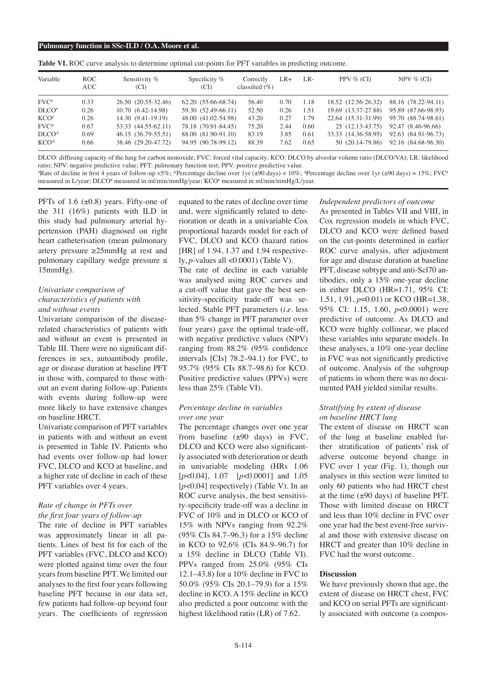|  |  |  |  |  |  |  |  | <b>Table VI.</b> ROC curve analysis to determine optimal cut-points for PFT variables in predicting outcome. |  |
|--|--|--|--|--|--|--|--|--------------------------------------------------------------------------------------------------------------|--|
|--|--|--|--|--|--|--|--|--------------------------------------------------------------------------------------------------------------|--|

| Variable                       | ROC.<br>AUC- | Sensitivity %<br>(CI) | Specificity $%$<br>(CI) | Correctly<br>classified $(\% )$ | LR+  | LR-  | PPV $%$ (CI)        | NPV $%$ (CI)        |
|--------------------------------|--------------|-----------------------|-------------------------|---------------------------------|------|------|---------------------|---------------------|
| $FVC^*$                        | 0.33         | 26.50 (20.55-32.46)   | 62.20 (55.66-68.74)     | 56.40                           | 0.70 | 1.18 | 18.52 (12.56-26.32) | 88.16 (78.22-94.11) |
| D <sub>LO#</sub>               | 0.26         | 10.70 (6.42-14.98)    | 59.30 (52.49-66.11)     | 52.50                           | 0.26 | 1.51 | 19.69 (13.37-27.88) | 95.89 (87.66-98.93) |
| $KCO*$                         | 0.26         | 14.30 (9.41-19.19)    | 48.00 (41.02-54.98)     | 43.20                           | 0.27 | 1.79 | 22.64 (15.31-31.99) | 95.70 (88.74-98.61) |
| $FVC^{\wedge}$                 | 0.67         | 53.33 (44.55-62.11)   | 78.18 (70.91-84.45)     | 75.20                           | 2.44 | 0.60 | $25(12.13-43.75)$   | 92.47 (8.46-96.66)  |
| D <sub>L</sub> CO <sup>Δ</sup> | 0.69         | 46.15 (36.79-55.51)   | 88.00 (81.90-91.10)     | 83.19                           | 3.85 | 0.61 | 33.33 (14.36-58.95) | 92.63 (84.91-96.73) |
| KCO <sup>4</sup>               | 0.66         | 38.46 (29.20-47.72)   | 94.95 (90.78-99.12)     | 88.39                           | 7.62 | 0.65 | 50 (20.14-79.86)    | 92.16 (84.68-96.30) |

DLCO: diffusing capacity of the lung for carbon monoxide; FVC: forced vital capacity; KCO: DLCO by alveolar volume ratio (DLCO/VA); LR: likelihood ratio; NPV: negative predictive value; PFT: pulmonary function test; PPV: positive predictive value.

#Rate of decline in first 4 years of follow-up <5%; ^Percentage decline over 1yr (±90 days) = 10%; ^Percentage decline over 1yr (±90 days) = 10%; ^Percentage decline over 1yr (±90 days) = 15%; FVC measured in L/year; DLCO<sup>#</sup> measured in ml/min/mmHg/year; KCO<sup>#</sup> measured in ml/min/mmHg/L/year.

PFTs of 1.6  $(\pm 0.8)$  years. Fifty-one of the 311 (16%) patients with ILD in this study had pulmonary arterial hypertension (PAH) diagnosed on right heart catheterisation (mean pulmonary artery pressure ≥25mmHg at rest and pulmonary capillary wedge pressure ≤ 15mmHg).

# *Univariate comparison of characteristics of patients with and without events*

Univariate comparison of the diseaserelated characteristics of patients with and without an event is presented in Table III. There were no significant differences in sex, autoantibody profile, age or disease duration at baseline PFT in those with, compared to those without an event during follow-up. Patients with events during follow-up were more likely to have extensive changes on baseline HRCT.

Univariate comparison of PFT variables in patients with and without an event is presented in Table IV. Patients who had events over follow-up had lower FVC, DLCO and KCO at baseline, and a higher rate of decline in each of these PFT variables over 4 years.

#### *Rate of change in PFTs over the first four years of follow-up*

The rate of decline in PFT variables was approximately linear in all patients. Lines of best fit for each of the PFT variables (FVC, DLCO and KCO) were plotted against time over the four years from baseline PFT. We limited our analyses to the first four years following baseline PFT because in our data set, few patients had follow-up beyond four years. The coefficients of regression

equated to the rates of decline over time and, were significantly related to deterioration or death in a univariable Cox proportional hazards model for each of FVC, DLCO and KCO (hazard ratios [HR] of 1.94, 1.37 and 1.94 respectively, *p*-values all <0.0001) (Table V).

The rate of decline in each variable was analysed using ROC curves and a cut-off value that gave the best sensitivity-specificity trade-off was selected. Stable PFT parameters (*i.e.* less than 5% change in PFT parameter over four years) gave the optimal trade-off, with negative predictive values (NPV) ranging from 88.2% (95% confidence intervals [CIs] 78.2–94.1) for FVC, to 95.7% (95% CIs 88.7–98.6) for KCO. Positive predictive values (PPVs) were less than 25% (Table VI).

## *Percentage decline in variables over one year*

The percentage changes over one year from baseline  $(\pm 90 \text{ days})$  in FVC, DLCO and KCO were also significantly associated with deterioration or death in univariable modeling (HRs 1.06 [*p*<0.04], 1.07 [*p*<0.0001] and 1.05 [ $p$ <0.04] respectively) (Table V). In an ROC curve analysis, the best sensitivity-specificity trade-off was a decline in FVC of 10% and in DLCO or KCO of 15% with NPVs ranging from 92.2% (95% CIs 84.7–96.3) for a 15% decline in KCO to 92.6% (CIs 84.9–96.7) for a 15% decline in DLCO (Table VI). PPVs ranged from 25.0% (95% CIs 12.1–43.8) for a 10% decline in FVC to 50.0% (95% CIs 20.1–79.9) for a 15% decline in KCO. A 15% decline in KCO also predicted a poor outcome with the highest likelihood ratio (LR) of 7.62.

#### *Independent predictors of outcome* As presented in Tables VII and VIII, in

Cox regression models in which FVC, DLCO and KCO were defined based on the cut-points determined in earlier ROC curve analysis, after adjustment for age and disease duration at baseline PFT, disease subtype and anti-Scl70 antibodies, only a 15% one-year decline in either DLCO (HR=1.71, 95% CI: 1.51, 1.91, *p*=0.01) or KCO (HR=1.38, 95% CI: 1.15, 1.60, *p*<0.0001) were predictive of outcome. As DLCO and KCO were highly collinear, we placed these variables into separate models. In these analyses, a 10% one-year decline in FVC was not significantly predictive of outcome. Analysis of the subgroup of patients in whom there was no documented PAH yielded similar results.

# *Stratifying by extent of disease on baseline HRCT lung*

The extent of disease on HRCT scan of the lung at baseline enabled further stratification of patients' risk of adverse outcome beyond change in FVC over 1 year (Fig. 1), though our analyses in this section were limited to only 60 patients who had HRCT chest at the time  $(\pm 90 \text{ days})$  of baseline PFT. Those with limited disease on HRCT and less than 10% decline in FVC over one year had the best event-free survival and those with extensive disease on HRCT and greater than 10% decline in FVC had the worst outcome.

## **Discussion**

We have previously shown that age, the extent of disease on HRCT chest, FVC and KCO on serial PFTs are significantly associated with outcome (a compos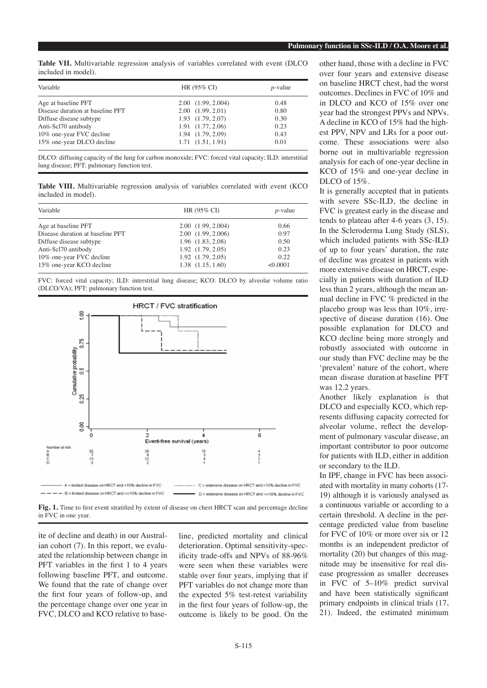**Table VII.** Multivariable regression analysis of variables correlated with event (DLCO included in model).

| Variable                         | HR (95% CI)               | $p$ -value |
|----------------------------------|---------------------------|------------|
| Age at baseline PFT              | 2.00(1.99, 2.004)         | 0.48       |
| Disease duration at baseline PFT | 2.00(1.99, 2.01)          | 0.80       |
| Diffuse disease subtype          | $1.93$ $(1.79, 2.07)$     | 0.30       |
| Anti-Scl70 antibody              | $1.91 \quad (1.77, 2.06)$ | 0.23       |
| 10% one-year FVC decline         | 1.94 (1.79, 2.09)         | 0.43       |
| 15% one-year DLCO decline        | 1.71(1.51, 1.91)          | 0.01       |

DLCO: diffusing capacity of the lung for carbon monoxide; FVC: forced vital capacity; ILD: interstitial lung disease; PFT: pulmonary function test.

**Table VIII.** Multivariable regression analysis of variables correlated with event (KCO included in model).

| Variable                         | HR (95% CI)           | $p$ -value |
|----------------------------------|-----------------------|------------|
| Age at baseline PFT              | 2.00(1.99, 2.004)     | 0.66       |
| Disease duration at baseline PFT | 2.00 (1.99, 2.006)    | 0.97       |
| Diffuse disease subtype          | 1.96 (1.83, 2.08)     | 0.50       |
| Anti-Scl70 antibody              | $1.92$ $(1.79, 2.05)$ | 0.23       |
| 10% one-year FVC decline         | $1.92$ $(1.79, 2.05)$ | 0.22       |
| 15% one-year KCO decline         | $1.38$ $(1.15, 1.60)$ | < 0.0001   |
|                                  |                       |            |

FVC: forced vital capacity; ILD: interstitial lung disease; KCO: DLCO by alveolar volume ratio (DLCO/VA); PFT: pulmonary function test.



Fig. 1. Time to first event stratified by extent of disease on chest HRCT scan and percentage decline in FVC in one year.

ite of decline and death) in our Australian cohort (7). In this report, we evaluated the relationship between change in PFT variables in the first 1 to 4 years following baseline PFT, and outcome. We found that the rate of change over the first four years of follow-up, and the percentage change over one year in FVC, DLCO and KCO relative to baseline, predicted mortality and clinical deterioration. Optimal sensitivity-specificity trade-offs and NPVs of 88-96% were seen when these variables were stable over four years, implying that if PFT variables do not change more than the expected 5% test-retest variability in the first four years of follow-up, the outcome is likely to be good. On the

other hand, those with a decline in FVC over four years and extensive disease on baseline HRCT chest, had the worst outcomes. Declines in FVC of 10% and in DLCO and KCO of 15% over one year had the strongest PPVs and NPVs. A decline in KCO of 15% had the highest PPV, NPV and LRs for a poor outcome. These associations were also borne out in multivariable regression analysis for each of one-year decline in KCO of 15% and one-year decline in DLCO of 15%.

It is generally accepted that in patients with severe SSc-ILD, the decline in FVC is greatest early in the disease and tends to plateau after 4-6 years (3, 15). In the Scleroderma Lung Study (SLS), which included patients with SSc-ILD of up to four years' duration, the rate of decline was greatest in patients with more extensive disease on HRCT, especially in patients with duration of ILD less than 2 years, although the mean annual decline in FVC % predicted in the placebo group was less than 10%, irrespective of disease duration (16). One possible explanation for DLCO and KCO decline being more strongly and robustly associated with outcome in our study than FVC decline may be the 'prevalent' nature of the cohort, where mean disease duration at baseline PFT was 12.2 years.

Another likely explanation is that DLCO and especially KCO, which represents diffusing capacity corrected for alveolar volume, reflect the development of pulmonary vascular disease, an important contributor to poor outcome for patients with ILD, either in addition or secondary to the ILD.

In IPF, change in FVC has been associated with mortality in many cohorts (17- 19) although it is variously analysed as a continuous variable or according to a certain threshold. A decline in the percentage predicted value from baseline for FVC of 10% or more over six or 12 months is an independent predictor of mortality (20) but changes of this magnitude may be insensitive for real disease progression as smaller decreases in FVC of 5–10% predict survival and have been statistically significant primary endpoints in clinical trials (17, 21). Indeed, the estimated minimum